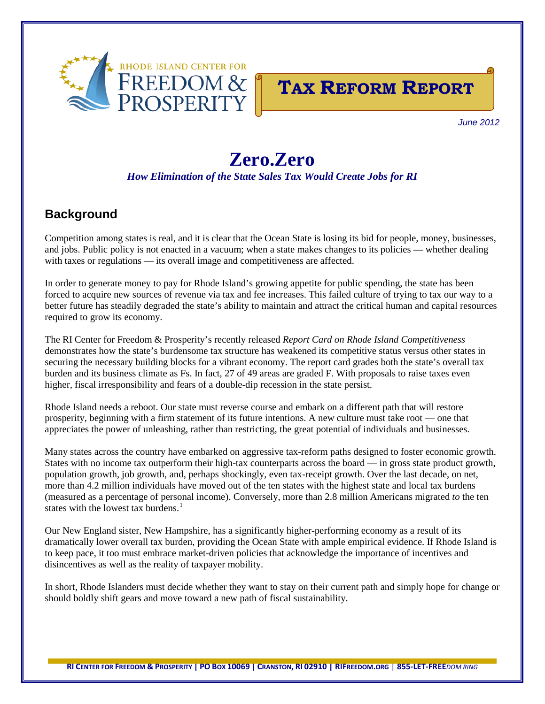



*June 2012*

# **Zero.Zero**

*How Elimination of the State Sales Tax Would Create Jobs for RI*

# **Background**

Competition among states is real, and it is clear that the Ocean State is losing its bid for people, money, businesses, and jobs. Public policy is not enacted in a vacuum; when a state makes changes to its policies — whether dealing with taxes or regulations — its overall image and competitiveness are affected.

In order to generate money to pay for Rhode Island's growing appetite for public spending, the state has been forced to acquire new sources of revenue via tax and fee increases. This failed culture of trying to tax our way to a better future has steadily degraded the state's ability to maintain and attract the critical human and capital resources required to grow its economy.

The RI Center for Freedom & Prosperity's recently released *Report Card on Rhode Island Competitiveness* demonstrates how the state's burdensome tax structure has weakened its competitive status versus other states in securing the necessary building blocks for a vibrant economy. The report card grades both the state's overall tax burden and its business climate as Fs. In fact, 27 of 49 areas are graded F. With proposals to raise taxes even higher, fiscal irresponsibility and fears of a double-dip recession in the state persist.

Rhode Island needs a reboot. Our state must reverse course and embark on a different path that will restore prosperity, beginning with a firm statement of its future intentions. A new culture must take root — one that appreciates the power of unleashing, rather than restricting, the great potential of individuals and businesses.

Many states across the country have embarked on aggressive tax-reform paths designed to foster economic growth. States with no income tax outperform their high-tax counterparts across the board — in gross state product growth, population growth, job growth, and, perhaps shockingly, even tax-receipt growth. Over the last decade, on net, more than 4.2 million individuals have moved out of the ten states with the highest state and local tax burdens (measured as a percentage of personal income). Conversely, more than 2.8 million Americans migrated *to* the ten states with the lowest tax burdens.<sup>[1](#page-6-0)</sup>

Our New England sister, New Hampshire, has a significantly higher-performing economy as a result of its dramatically lower overall tax burden, providing the Ocean State with ample empirical evidence. If Rhode Island is to keep pace, it too must embrace market-driven policies that acknowledge the importance of incentives and disincentives as well as the reality of taxpayer mobility.

In short, Rhode Islanders must decide whether they want to stay on their current path and simply hope for change or should boldly shift gears and move toward a new path of fiscal sustainability.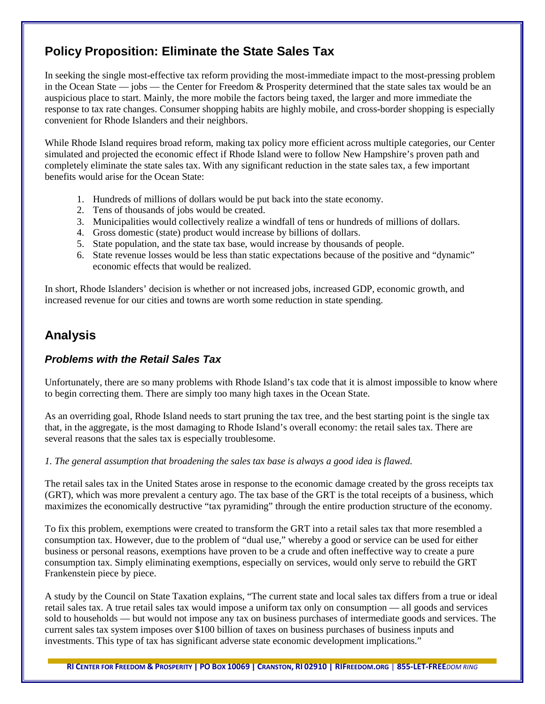## **Policy Proposition: Eliminate the State Sales Tax**

In seeking the single most-effective tax reform providing the most-immediate impact to the most-pressing problem in the Ocean State — jobs — the Center for Freedom & Prosperity determined that the state sales tax would be an auspicious place to start. Mainly, the more mobile the factors being taxed, the larger and more immediate the response to tax rate changes. Consumer shopping habits are highly mobile, and cross-border shopping is especially convenient for Rhode Islanders and their neighbors.

While Rhode Island requires broad reform, making tax policy more efficient across multiple categories, our Center simulated and projected the economic effect if Rhode Island were to follow New Hampshire's proven path and completely eliminate the state sales tax. With any significant reduction in the state sales tax, a few important benefits would arise for the Ocean State:

- 1. Hundreds of millions of dollars would be put back into the state economy.
- 2. Tens of thousands of jobs would be created.
- 3. Municipalities would collectively realize a windfall of tens or hundreds of millions of dollars.
- 4. Gross domestic (state) product would increase by billions of dollars.
- 5. State population, and the state tax base, would increase by thousands of people.
- 6. State revenue losses would be less than static expectations because of the positive and "dynamic" economic effects that would be realized.

In short, Rhode Islanders' decision is whether or not increased jobs, increased GDP, economic growth, and increased revenue for our cities and towns are worth some reduction in state spending.

## **Analysis**

## *Problems with the Retail Sales Tax*

Unfortunately, there are so many problems with Rhode Island's tax code that it is almost impossible to know where to begin correcting them. There are simply too many high taxes in the Ocean State.

As an overriding goal, Rhode Island needs to start pruning the tax tree, and the best starting point is the single tax that, in the aggregate, is the most damaging to Rhode Island's overall economy: the retail sales tax. There are several reasons that the sales tax is especially troublesome.

*1. The general assumption that broadening the sales tax base is always a good idea is flawed.*

The retail sales tax in the United States arose in response to the economic damage created by the gross receipts tax (GRT), which was more prevalent a century ago. The tax base of the GRT is the total receipts of a business, which maximizes the economically destructive "tax pyramiding" through the entire production structure of the economy.

To fix this problem, exemptions were created to transform the GRT into a retail sales tax that more resembled a consumption tax. However, due to the problem of "dual use," whereby a good or service can be used for either business or personal reasons, exemptions have proven to be a crude and often ineffective way to create a pure consumption tax. Simply eliminating exemptions, especially on services, would only serve to rebuild the GRT Frankenstein piece by piece.

A study by the Council on State Taxation explains, "The current state and local sales tax differs from a true or ideal retail sales tax. A true retail sales tax would impose a uniform tax only on consumption — all goods and services sold to households — but would not impose any tax on business purchases of intermediate goods and services. The current sales tax system imposes over \$100 billion of taxes on business purchases of business inputs and investments. This type of tax has significant adverse state economic development implications."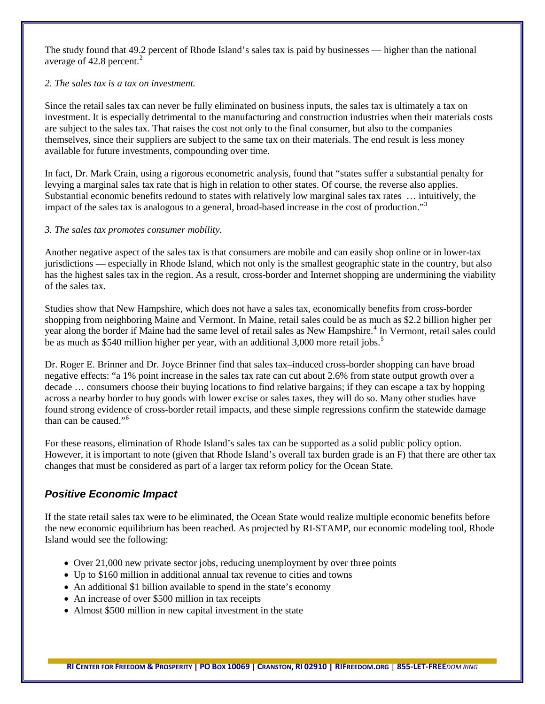The study found that 49.2 percent of Rhode Island's sales tax is paid by businesses — higher than the national average of  $42.8$  $42.8$  $42.8$  percent.<sup>2</sup>

#### *2. The sales tax is a tax on investment.*

Since the retail sales tax can never be fully eliminated on business inputs, the sales tax is ultimately a tax on investment. It is especially detrimental to the manufacturing and construction industries when their materials costs are subject to the sales tax. That raises the cost not only to the final consumer, but also to the companies themselves, since their suppliers are subject to the same tax on their materials. The end result is less money available for future investments, compounding over time.

In fact, Dr. Mark Crain, using a rigorous econometric analysis, found that "states suffer a substantial penalty for levying a marginal sales tax rate that is high in relation to other states. Of course, the reverse also applies. Substantial economic benefits redound to states with relatively low marginal sales tax rates … intuitively, the impact of the sales tax is analogous to a general, broad-based increase in the cost of production."<sup>[3](#page-6-2)</sup>

#### *3. The sales tax promotes consumer mobility.*

Another negative aspect of the sales tax is that consumers are mobile and can easily shop online or in lower-tax jurisdictions — especially in Rhode Island, which not only is the smallest geographic state in the country, but also has the highest sales tax in the region. As a result, cross-border and Internet shopping are undermining the viability of the sales tax.

Studies show that New Hampshire, which does not have a sales tax, economically benefits from cross-border shopping from neighboring Maine and Vermont. In Maine, retail sales could be as much as \$2.2 billion higher per year along the border if Maine had the same level of retail sales as New Hampshire.<sup>[4](#page-6-3)</sup> In Vermont, retail sales could be as much as \$[5](#page-6-4)40 million higher per year, with an additional 3,000 more retail jobs.<sup>5</sup>

Dr. Roger E. Brinner and Dr. Joyce Brinner find that sales tax–induced cross-border shopping can have broad negative effects: "a 1% point increase in the sales tax rate can cut about 2.6% from state output growth over a decade … consumers choose their buying locations to find relative bargains; if they can escape a tax by hopping across a nearby border to buy goods with lower excise or sales taxes, they will do so. Many other studies have found strong evidence of cross-border retail impacts, and these simple regressions confirm the statewide damage than can be caused."[6](#page-6-5)

For these reasons, elimination of Rhode Island's sales tax can be supported as a solid public policy option. However, it is important to note (given that Rhode Island's overall tax burden grade is an F) that there are other tax changes that must be considered as part of a larger tax reform policy for the Ocean State.

## *Positive Economic Impact*

If the state retail sales tax were to be eliminated, the Ocean State would realize multiple economic benefits before the new economic equilibrium has been reached. As projected by RI-STAMP, our economic modeling tool, Rhode Island would see the following:

- Over 21,000 new private sector jobs, reducing unemployment by over three points
- Up to \$160 million in additional annual tax revenue to cities and towns
- An additional \$1 billion available to spend in the state's economy
- An increase of over \$500 million in tax receipts
- Almost \$500 million in new capital investment in the state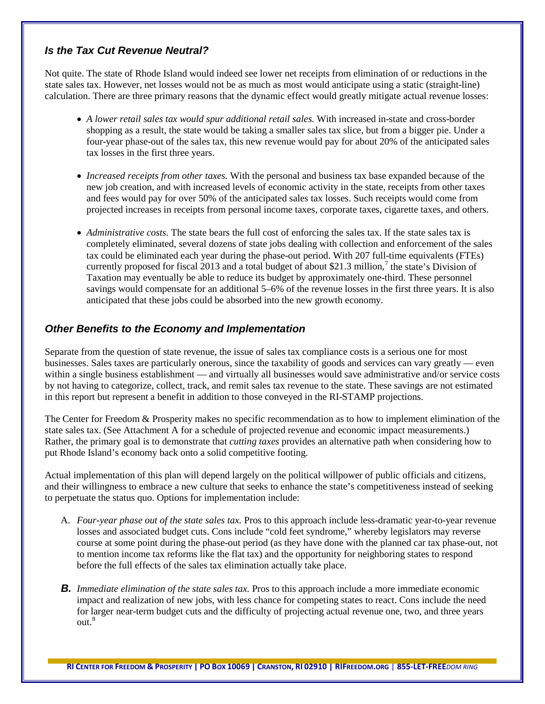## *Is the Tax Cut Revenue Neutral?*

Not quite. The state of Rhode Island would indeed see lower net receipts from elimination of or reductions in the state sales tax. However, net losses would not be as much as most would anticipate using a static (straight-line) calculation. There are three primary reasons that the dynamic effect would greatly mitigate actual revenue losses:

- *A lower retail sales tax would spur additional retail sales.* With increased in-state and cross-border shopping as a result, the state would be taking a smaller sales tax slice, but from a bigger pie. Under a four-year phase-out of the sales tax, this new revenue would pay for about 20% of the anticipated sales tax losses in the first three years.
- *Increased receipts from other taxes.* With the personal and business tax base expanded because of the new job creation, and with increased levels of economic activity in the state, receipts from other taxes and fees would pay for over 50% of the anticipated sales tax losses. Such receipts would come from projected increases in receipts from personal income taxes, corporate taxes, cigarette taxes, and others.
- *Administrative costs*. The state bears the full cost of enforcing the sales tax. If the state sales tax is completely eliminated, several dozens of state jobs dealing with collection and enforcement of the sales tax could be eliminated each year during the phase-out period. With 207 full-time equivalents (FTEs) currently proposed for fiscal 2013 and a total budget of about \$21.3 million, [7](#page-6-6) the state's Division of Taxation may eventually be able to reduce its budget by approximately one-third. These personnel savings would compensate for an additional 5–6% of the revenue losses in the first three years. It is also anticipated that these jobs could be absorbed into the new growth economy.

#### *Other Benefits to the Economy and Implementation*

Separate from the question of state revenue, the issue of sales tax compliance costs is a serious one for most businesses. Sales taxes are particularly onerous, since the taxability of goods and services can vary greatly — even within a single business establishment — and virtually all businesses would save administrative and/or service costs by not having to categorize, collect, track, and remit sales tax revenue to the state. These savings are not estimated in this report but represent a benefit in addition to those conveyed in the RI-STAMP projections.

The Center for Freedom & Prosperity makes no specific recommendation as to how to implement elimination of the state sales tax. (See Attachment A for a schedule of projected revenue and economic impact measurements.) Rather, the primary goal is to demonstrate that *cutting taxes* provides an alternative path when considering how to put Rhode Island's economy back onto a solid competitive footing.

Actual implementation of this plan will depend largely on the political willpower of public officials and citizens, and their willingness to embrace a new culture that seeks to enhance the state's competitiveness instead of seeking to perpetuate the status quo. Options for implementation include:

- A. *Four-year phase out of the state sales tax.* Pros to this approach include less-dramatic year-to-year revenue losses and associated budget cuts. Cons include "cold feet syndrome," whereby legislators may reverse course at some point during the phase-out period (as they have done with the planned car tax phase-out, not to mention income tax reforms like the flat tax) and the opportunity for neighboring states to respond before the full effects of the sales tax elimination actually take place.
- *B. Immediate elimination of the state sales tax.* Pros to this approach include a more immediate economic impact and realization of new jobs, with less chance for competing states to react. Cons include the need for larger near-term budget cuts and the difficulty of projecting actual revenue one, two, and three years out.<sup>[8](#page-6-7)</sup>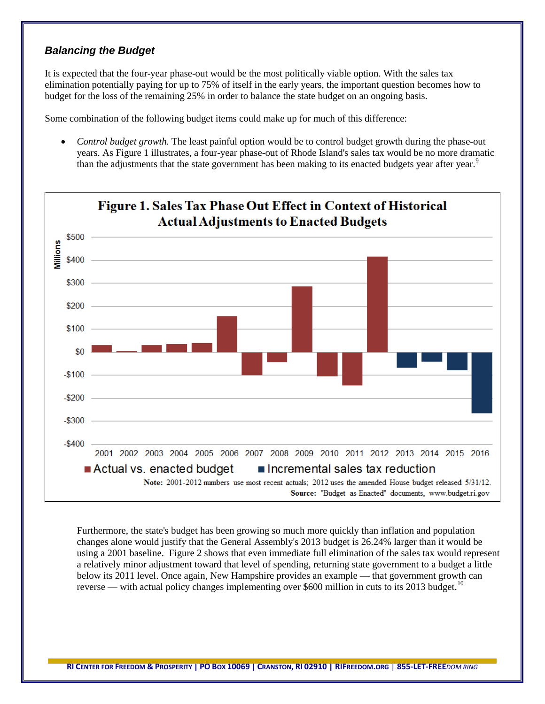#### *Balancing the Budget*

It is expected that the four-year phase-out would be the most politically viable option. With the sales tax elimination potentially paying for up to 75% of itself in the early years, the important question becomes how to budget for the loss of the remaining 25% in order to balance the state budget on an ongoing basis.

Some combination of the following budget items could make up for much of this difference:

• *Control budget growth*. The least painful option would be to control budget growth during the phase-out years. As Figure 1 illustrates, a four-year phase-out of Rhode Island's sales tax would be no more dramatic than the adjustments that the state government has been making to its enacted budgets year after year.<sup>[9](#page-6-8)</sup>



Furthermore, the state's budget has been growing so much more quickly than inflation and population changes alone would justify that the General Assembly's 2013 budget is 26.24% larger than it would be using a 2001 baseline. Figure 2 shows that even immediate full elimination of the sales tax would represent a relatively minor adjustment toward that level of spending, returning state government to a budget a little below its 2011 level. Once again, New Hampshire provides an example — that government growth can reverse — with actual policy changes implementing over \$600 million in cuts to its 2013 budget.<sup>[10](#page-6-9)</sup>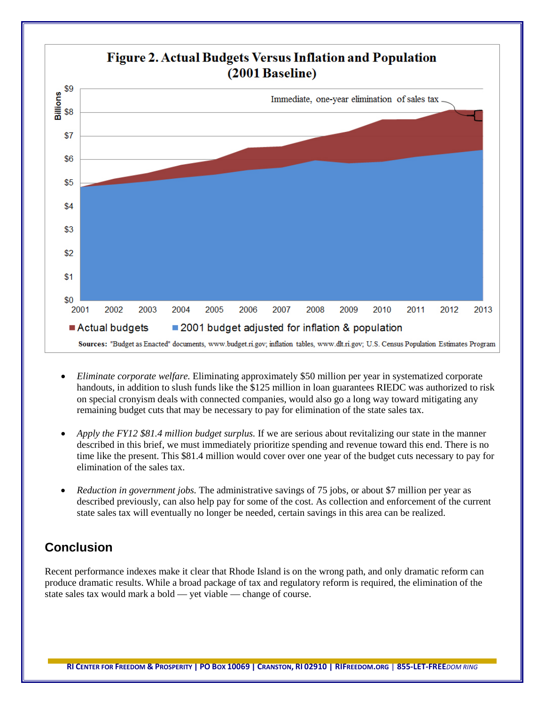

- *Eliminate corporate welfare.* Eliminating approximately \$50 million per year in systematized corporate handouts, in addition to slush funds like the \$125 million in loan guarantees RIEDC was authorized to risk on special cronyism deals with connected companies, would also go a long way toward mitigating any remaining budget cuts that may be necessary to pay for elimination of the state sales tax.
- *Apply the FY12 \$81.4 million budget surplus.* If we are serious about revitalizing our state in the manner described in this brief, we must immediately prioritize spending and revenue toward this end. There is no time like the present. This \$81.4 million would cover over one year of the budget cuts necessary to pay for elimination of the sales tax.
- *Reduction in government jobs.* The administrative savings of 75 jobs, or about \$7 million per year as described previously, can also help pay for some of the cost. As collection and enforcement of the current state sales tax will eventually no longer be needed, certain savings in this area can be realized.

# **Conclusion**

Recent performance indexes make it clear that Rhode Island is on the wrong path, and only dramatic reform can produce dramatic results. While a broad package of tax and regulatory reform is required, the elimination of the state sales tax would mark a bold — yet viable — change of course.